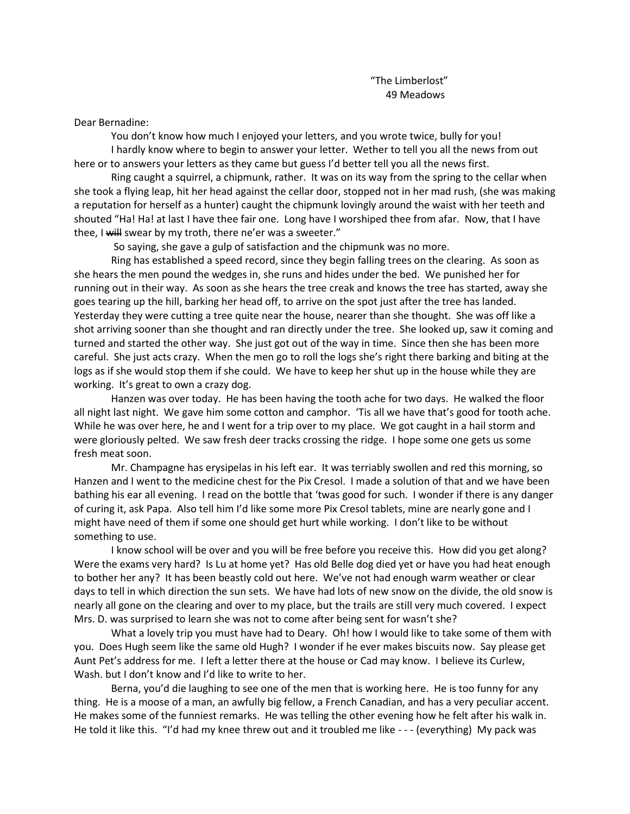Dear Bernadine:

You don't know how much I enjoyed your letters, and you wrote twice, bully for you! I hardly know where to begin to answer your letter. Wether to tell you all the news from out here or to answers your letters as they came but guess I'd better tell you all the news first.

Ring caught a squirrel, a chipmunk, rather. It was on its way from the spring to the cellar when she took a flying leap, hit her head against the cellar door, stopped not in her mad rush, (she was making a reputation for herself as a hunter) caught the chipmunk lovingly around the waist with her teeth and shouted "Ha! Ha! at last I have thee fair one. Long have I worshiped thee from afar. Now, that I have thee, I will swear by my troth, there ne'er was a sweeter."

So saying, she gave a gulp of satisfaction and the chipmunk was no more.

Ring has established a speed record, since they begin falling trees on the clearing. As soon as she hears the men pound the wedges in, she runs and hides under the bed. We punished her for running out in their way. As soon as she hears the tree creak and knows the tree has started, away she goes tearing up the hill, barking her head off, to arrive on the spot just after the tree has landed. Yesterday they were cutting a tree quite near the house, nearer than she thought. She was off like a shot arriving sooner than she thought and ran directly under the tree. She looked up, saw it coming and turned and started the other way. She just got out of the way in time. Since then she has been more careful. She just acts crazy. When the men go to roll the logs she's right there barking and biting at the logs as if she would stop them if she could. We have to keep her shut up in the house while they are working. It's great to own a crazy dog.

Hanzen was over today. He has been having the tooth ache for two days. He walked the floor all night last night. We gave him some cotton and camphor. 'Tis all we have that's good for tooth ache. While he was over here, he and I went for a trip over to my place. We got caught in a hail storm and were gloriously pelted. We saw fresh deer tracks crossing the ridge. I hope some one gets us some fresh meat soon.

Mr. Champagne has erysipelas in his left ear. It was terriably swollen and red this morning, so Hanzen and I went to the medicine chest for the Pix Cresol. I made a solution of that and we have been bathing his ear all evening. I read on the bottle that 'twas good for such. I wonder if there is any danger of curing it, ask Papa. Also tell him I'd like some more Pix Cresol tablets, mine are nearly gone and I might have need of them if some one should get hurt while working. I don't like to be without something to use.

I know school will be over and you will be free before you receive this. How did you get along? Were the exams very hard? Is Lu at home yet? Has old Belle dog died yet or have you had heat enough to bother her any? It has been beastly cold out here. We've not had enough warm weather or clear days to tell in which direction the sun sets. We have had lots of new snow on the divide, the old snow is nearly all gone on the clearing and over to my place, but the trails are still very much covered. I expect Mrs. D. was surprised to learn she was not to come after being sent for wasn't she?

What a lovely trip you must have had to Deary. Oh! how I would like to take some of them with you. Does Hugh seem like the same old Hugh? I wonder if he ever makes biscuits now. Say please get Aunt Pet's address for me. I left a letter there at the house or Cad may know. I believe its Curlew, Wash. but I don't know and I'd like to write to her.

Berna, you'd die laughing to see one of the men that is working here. He is too funny for any thing. He is a moose of a man, an awfully big fellow, a French Canadian, and has a very peculiar accent. He makes some of the funniest remarks. He was telling the other evening how he felt after his walk in. He told it like this. "I'd had my knee threw out and it troubled me like - - - (everything) My pack was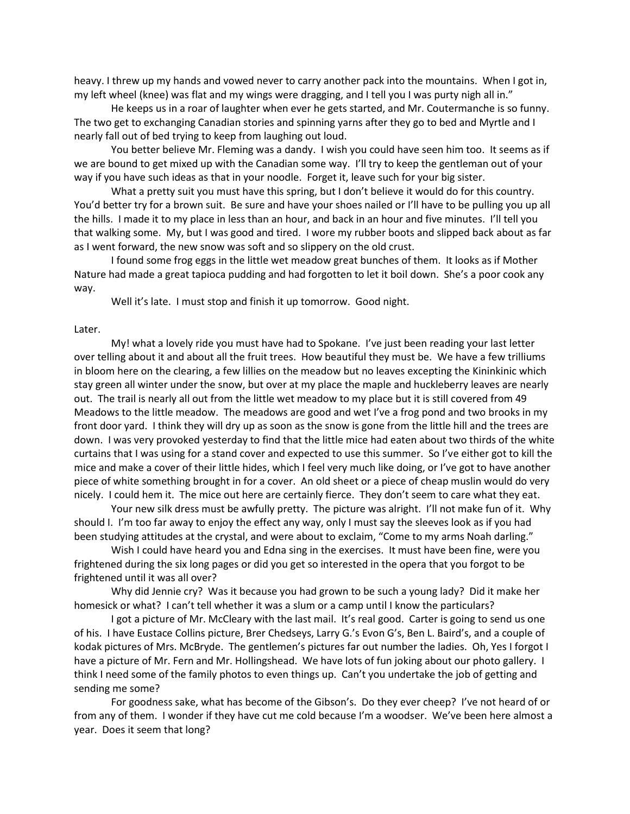heavy. I threw up my hands and vowed never to carry another pack into the mountains. When I got in, my left wheel (knee) was flat and my wings were dragging, and I tell you I was purty nigh all in."

He keeps us in a roar of laughter when ever he gets started, and Mr. Coutermanche is so funny. The two get to exchanging Canadian stories and spinning yarns after they go to bed and Myrtle and I nearly fall out of bed trying to keep from laughing out loud.

You better believe Mr. Fleming was a dandy. I wish you could have seen him too. It seems as if we are bound to get mixed up with the Canadian some way. I'll try to keep the gentleman out of your way if you have such ideas as that in your noodle. Forget it, leave such for your big sister.

What a pretty suit you must have this spring, but I don't believe it would do for this country. You'd better try for a brown suit. Be sure and have your shoes nailed or I'll have to be pulling you up all the hills. I made it to my place in less than an hour, and back in an hour and five minutes. I'll tell you that walking some. My, but I was good and tired. I wore my rubber boots and slipped back about as far as I went forward, the new snow was soft and so slippery on the old crust.

I found some frog eggs in the little wet meadow great bunches of them. It looks as if Mother Nature had made a great tapioca pudding and had forgotten to let it boil down. She's a poor cook any way.

Well it's late. I must stop and finish it up tomorrow. Good night.

## Later.

My! what a lovely ride you must have had to Spokane. I've just been reading your last letter over telling about it and about all the fruit trees. How beautiful they must be. We have a few trilliums in bloom here on the clearing, a few lillies on the meadow but no leaves excepting the Kininkinic which stay green all winter under the snow, but over at my place the maple and huckleberry leaves are nearly out. The trail is nearly all out from the little wet meadow to my place but it is still covered from 49 Meadows to the little meadow. The meadows are good and wet I've a frog pond and two brooks in my front door yard. I think they will dry up as soon as the snow is gone from the little hill and the trees are down. I was very provoked yesterday to find that the little mice had eaten about two thirds of the white curtains that I was using for a stand cover and expected to use this summer. So I've either got to kill the mice and make a cover of their little hides, which I feel very much like doing, or I've got to have another piece of white something brought in for a cover. An old sheet or a piece of cheap muslin would do very nicely. I could hem it. The mice out here are certainly fierce. They don't seem to care what they eat.

Your new silk dress must be awfully pretty. The picture was alright. I'll not make fun of it. Why should I. I'm too far away to enjoy the effect any way, only I must say the sleeves look as if you had been studying attitudes at the crystal, and were about to exclaim, "Come to my arms Noah darling."

Wish I could have heard you and Edna sing in the exercises. It must have been fine, were you frightened during the six long pages or did you get so interested in the opera that you forgot to be frightened until it was all over?

Why did Jennie cry? Was it because you had grown to be such a young lady? Did it make her homesick or what? I can't tell whether it was a slum or a camp until I know the particulars?

I got a picture of Mr. McCleary with the last mail. It's real good. Carter is going to send us one of his. I have Eustace Collins picture, Brer Chedseys, Larry G.'s Evon G's, Ben L. Baird's, and a couple of kodak pictures of Mrs. McBryde. The gentlemen's pictures far out number the ladies. Oh, Yes I forgot I have a picture of Mr. Fern and Mr. Hollingshead. We have lots of fun joking about our photo gallery. I think I need some of the family photos to even things up. Can't you undertake the job of getting and sending me some?

For goodness sake, what has become of the Gibson's. Do they ever cheep? I've not heard of or from any of them. I wonder if they have cut me cold because I'm a woodser. We've been here almost a year. Does it seem that long?